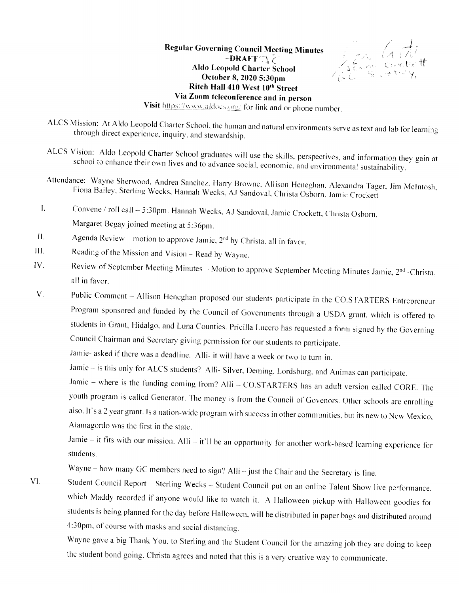## **Regular Governing Council Meeting Minutes**  $-BRAFF \frown \gimel$ **Aldo Leopold Charter School** October 8, 2020 5:30pm Ritch Hall 410 West 10th Street Via Zoom teleconference and in person

Len Git

Visit https://www.aldocs.org/ for link and or phone number.

- ALCS Mission: At Aldo Leopold Charter School, the human and natural environments serve as text and lab for learning through direct experience, inquiry, and stewardship.
- ALCS Vision: Aldo Leopold Charter School graduates will use the skills, perspectives, and information they gain at school to enhance their own lives and to advance social, economic, and environmental sustainability.
- Attendance: Wayne Sherwood, Andrea Sanchez, Harry Browne, Allison Heneghan, Alexandra Tager, Jim McIntosh, Fiona Bailey, Sterling Wecks, Hannah Wecks, AJ Sandoval, Christa Osborn, Jamie Crockett
- Convene / roll call 5:30pm. Hannah Wecks, AJ Sandoval, Jamie Crockett, Christa Osborn.  $\mathbf{I}$ . Margaret Begay joined meeting at 5:36pm.
- $II.$ Agenda Review - motion to approve Jamie, 2<sup>nd</sup> by Christa, all in favor.
- Ш. Reading of the Mission and Vision - Read by Wayne.
- IV. Review of September Meeting Minutes - Motion to approve September Meeting Minutes Jamie, 2<sup>nd</sup> -Christa, all in favor.
- $V_{\cdot}$ Public Comment - Allison Heneghan proposed our students participate in the CO.STARTERS Entrepreneur Program sponsored and funded by the Council of Governments through a USDA grant, which is offered to students in Grant, Hidalgo, and Luna Counties. Pricilla Lucero has requested a form signed by the Governing Council Chairman and Secretary giving permission for our students to participate.

Jamie- asked if there was a deadline. Alli- it will have a week or two to turn in.

Jamie - is this only for ALCS students? Alli- Silver, Deming, Lordsburg, and Animas can participate.

Jamie - where is the funding coming from? Alli - CO.STARTERS has an adult version called CORE. The youth program is called Generator. The money is from the Council of Govenors. Other schools are enrolling also. It's a 2 year grant. Is a nation-wide program with success in other communities, but its new to New Mexico, Alamagordo was the first in the state.

Jamie - it fits with our mission. Alli - it'll be an opportunity for another work-based learning experience for students.

Wayne – how many GC members need to sign? Alli – just the Chair and the Secretary is fine.

Student Council Report - Sterling Wecks - Student Council put on an online Talent Show live performance. VI. which Maddy recorded if anyone would like to watch it. A Halloween pickup with Halloween goodies for students is being planned for the day before Halloween, will be distributed in paper bags and distributed around 4:30pm, of course with masks and social distancing.

Wayne gave a big Thank You, to Sterling and the Student Council for the amazing job they are doing to keep the student bond going. Christa agrees and noted that this is a very creative way to communicate.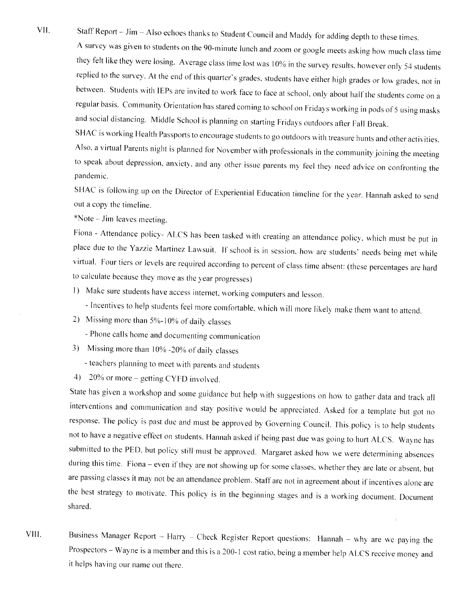VII. Staff Report - Jim - Also echoes thanks to Student Council and Maddy for adding depth to these times.

A survey was given to students on the 90-minute lunch and zoom or google meets asking how much class time they felt like they were losing. Average class time lost was 10% in the survey results, however only 54 students replied to the survey. At the end of this quarter's grades, students have either high grades or low grades, not in between. Students with IEPs are invited to work face to face at school, only about half the students come on a regular basis. Community Orientation has stared coming to school on Fridays working in pods of 5 using masks and social distancing. Middle School is planning on starting Fridays outdoors after Fall Break.

SHAC is working Health Passports to encourage students to go outdoors with treasure hunts and other activities. Also, a virtual Parents night is planned for November with professionals in the community joining the meeting to speak about depression, anxiety, and any other issue parents my feel they need advice on confronting the pandemic.

SHAC is following up on the Director of Experiential Education timeline for the year. Hannah asked to send out a copv the timeline.

\*Note – Jim leaves meeting.

Fiona - Attendance policy- ALCS has been tasked with creating an attendance policy, which must be put in place due to the Yazzie Martinez Lawsuit. If school is in session, how are students' needs being met while virtual. Four tiers or levels are required according to percent of class time absent: (these percentages are hard to calculate because they move as the year progresses)

- l) Make sure students have access internet. working computers and lesson.
	- Incentives to help students feel more comfortable, which will more likely make them want to attend.
- 2) Missing more than 5%-10% of daily classes

- Phone calls horne and documenting communication

- 3) Missing more than  $10\%$  -20% of daily classes
	- teachers planning to meet with parents and students
- 4) 20% or more getting CYFD involved.

State has given a workshop and some guidance but help with suggestions on how to gather data and track all interventions and communication and stay positive would be appreciated. Asked for a template but got no response. The policy is past due and must be approved by Governing Council. This policy is to help students not to have a negative effect on students. Hannah asked if being past due was going to hurt ALCS. Wayne has submitted to the PED, but policy still must be approved. Margaret asked how we were determining absences during this time. Fiona - even if they are not showing up for some classes, whether they are late or absent, but are passing classes it may not be an attendance problem. Staff are not in agreement about if incentives alone are the best strategy to motivate. This policy is in the beginning stages and is a working document. Document shared.

Business Manager Report - Harry - Check Register Report questions: Hannah - why are we paying the Prospectors - Wayne is a member and this is a 200-1 cost ratio, being a member help ALCS receive money and it helps having our name out there. VIII.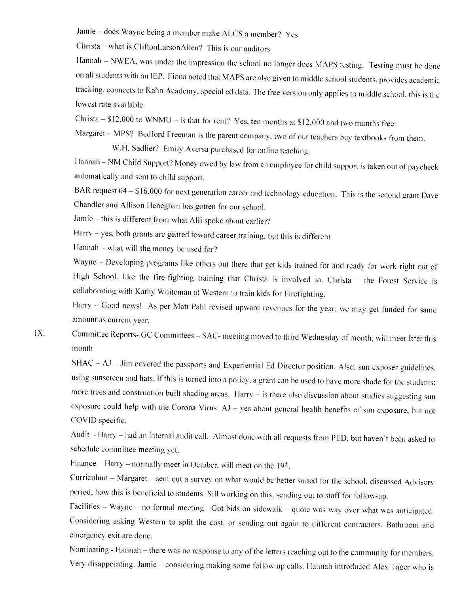Jamie - does Wayne being a member make ALCS a member? Yes

Christa - what is CliftonLarsonAllen? This is our auditors

Hannah - NWEA, was under the impression the school no longer does MAPS testing. Testing must be done on all students with an IEP. Fiona noted that MAPS are also given to middle school students, provides academic tracking, connects to Kahn Academy, special ed data. The free version only applies to middle school, this is the lowest rate available.

Christa  $- $12,000$  to WNMU – is that for rent? Yes, ten months at \$12,000 and two months free.

Margaret - MPS? Bedford Freeman is the parent company, two of our teachers buy textbooks from them.

W.H. Sadlier? Emily Aversa purchased for online teaching.

Hannah - NM Child Support? Money owed by law from an employee for child support is taken out of paycheck automatically and sent to child support.

BAR request  $04 - $16,000$  for next generation career and technology education. This is the second grant Dave Chandler and Allison Heneghan has gotten for our school.

Jamie - this is different from what Alli spoke about earlier?

Harry - yes, both grants are geared toward career training, but this is different.

Hannah - what will the money be used for?

Wayne - Developing programs like others out there that get kids trained for and ready for work right out of High School, like the fire-fighting training that Christa is involved in. Christa - the Forest Service is collaborating with Kathy Whiteman at Western to train kids for Firefighting.

Harry - Good news! As per Matt Pahl revised upward revenues for the year, we may get funded for same amount as current year.

IX. Committee Reports- GC Committees - SAC- meeting moved to third Wednesday of month, will meet later this month

SHAC - AJ - Jim covered the passports and Experiential Ed Director position. Also, sun exposer guidelines. using sunscreen and hats. If this is turned into a policy, a grant can be used to have more shade for the students: more trees and construction built shading areas. Harry - is there also discussion about studies suggesting sun exposure could help with the Corona Virus.  $AJ - yes$  about general health benefits of sun exposure, but not COVID specific.

Audit - Harry - had an internal audit call. Almost done with all requests from PED, but haven't been asked to schedule committee meeting yet.

Finance – Harry – normally meet in October, will meet on the 19<sup>th</sup>.

Curriculum - Margaret - sent out a survey on what would be better suited for the school, discussed Advisory period, how this is beneficial to students. Sill working on this, sending out to staff for follow-up.

Facilities - Wayne - no formal meeting. Got bids on sidewalk - quote was way over what was anticipated. Considering asking Western to split the cost. or sending out again to different contractors. Bathroom and emergency exit are done.

Nominating - Hannah - there was no response to any of the letters reaching out to the community for members. Very disappointing. Jamie - considering making some follow up calls. Hannah introduced Alex Tager who is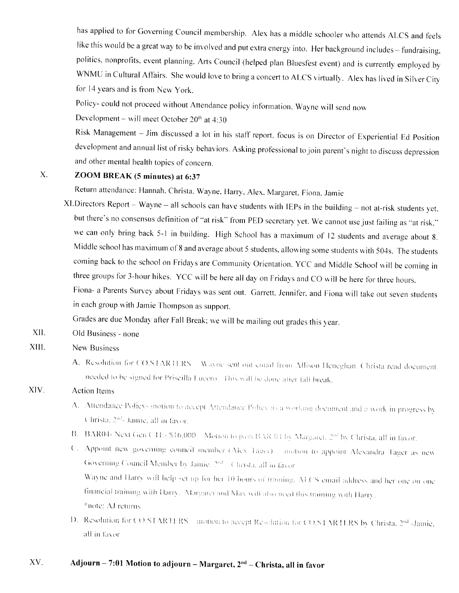has applied to for Governing Council membership. Alex has a middle schooler who attends ALCS and feels like this would be a great way to be involved and put extra energy into. Her background includes - fundraising, politics, nonprofits, event planning, Arts Council (helped plan Bluesfest event) and is currently employed by WNMU in Cultural Affairs. She would love to bring a concert to ALCS virtually. Alex has lived in Silver City for 14 years and is from New York.

Policy- could not proceed without Attendance policy information. Wayne will send now

Development - will meet October  $20<sup>th</sup>$  at 4:30

Risk Management - Jim discussed a lot in his staff report. focus is on Director of Experiential Ed Position development and annual list of risky behaviors. Asking professional to join parent's night to discuss depression and other mental health topics of concern.

## ZOOM BREAK (5 minutes) at 6:37 X.

Return attendance: Hannah, Christa, Wayne, Harry, Alex, Margaret, Fiona, Jamie

 $XI.Directors Report - Wayne - all schools can have students with IEPs in the building - not at-risk students yet.$ but there's no consensus definition of "at risk" from PED secretary yet. We cannot use just failing as "at risk," we can only bring back 5-1 in building. High School has a maximum of 12 students and average about 8. Middle school has maximum of 8 and average about 5 students, allowing some students with 504s. The students coming back to the school on Fridays are Community Orientation. YCC and Middle School will be coming in three groups for 3-hour hikes. YCC will be here all day on Fridays and CO will be here for three hours, Fiona- a Parents Survey about Fridays was sent out. Garrett, Jennifer, and Fiona will take out seven students

in each group with Jamie Thompson as support.

Grades are due Monday after Fall Break: we will be mailing out grades this year.

Old Business - none XII.

## New Business XIII.

A. Resolution for CO.STARTERS Wayne sent out email from Allison Heneghan. Christa read document needed to be signed for Priscilla Lucero. This will be done after fall break.

## Action Items XIV.

- A. Attendance Policy- motion to accept Attendance Policy as a working document and a work in progress by Christa, 2<sup>ad</sup>- Jamie, all in favor.
- B. BAR04- Next Gen CTE- \$16,000 Motion to pass BAR 04 by Margaret, 2<sup>nd</sup> by Christa, all in favor.
- C. Appoint new governing council member (Alex Tager) motion to appoint Alexandra Tager as new Governing Council Member by Jamie. 2<sup>nd</sup> . Christa, all in favor Wayne and Harry will help set up for her 10 hours of training. ALCS email address and her one on one linancial training with Harry. Margaret and Max will also need this training with Harry.
	- $*$ note:  $\Delta J$  returns
- D. Resolution for CO.STARTERS motion to accept Resolution for CO.STARTERS by Christa, 2<sup>nd</sup> -Jamie, all in favor